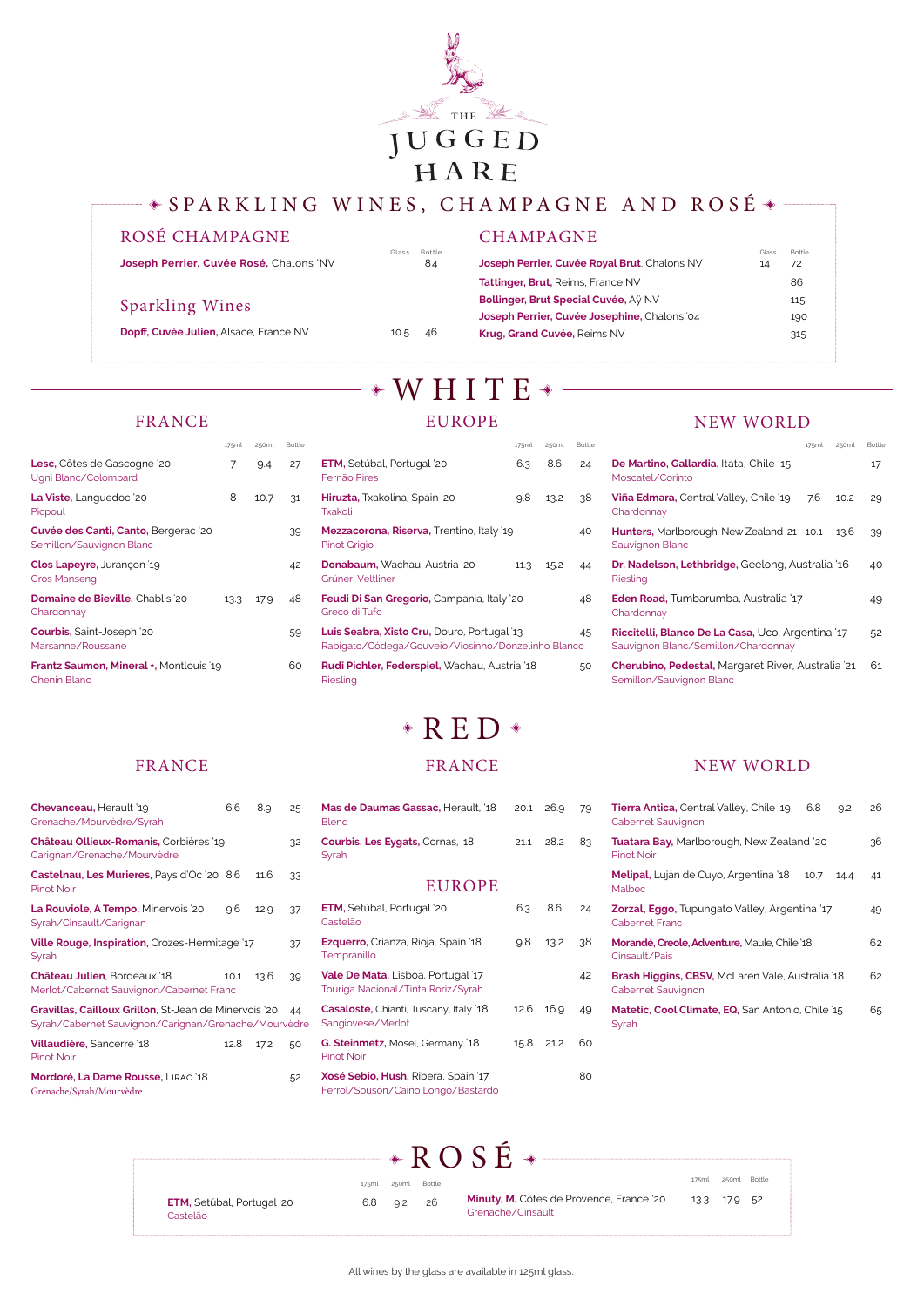

## $\texttt{\Leftrightarrow} \texttt{SPARKLING}\ \texttt{WINES},\ \texttt{CHAMPAGNE} \ \texttt{AND}\ \texttt{ROSÉ} \ \texttt{\Leftrightarrow}$



All wines by the glass are available in 125ml glass.

### ROSÉ CHAMPAGNE

Joseph Perrier, Cuvée Rosé, Chalons 'NV

### **CHAMPAGNE**

### Sparkling Wines

**Dopff, Cuvée Julien,** Alsace, France NV 10.5 46

Glass Bottle<br>84

# $*WHITE*$ EUROPE

| Joseph Perrier, Cuvée Royal Brut, Chalons NV | Glass<br>14 | <b>Bottle</b><br>72 |
|----------------------------------------------|-------------|---------------------|
| <b>Tattinger, Brut, Reims, France NV</b>     |             | 86                  |
| Bollinger, Brut Special Cuvée, Aÿ NV         |             | 115                 |
| Joseph Perrier, Cuvée Josephine, Chalons '04 |             | 190                 |
| Krug, Grand Cuvée, Reims NV                  |             | 315                 |
|                                              |             |                     |

### FRANCE

|                                                                  | 175ml | 250ml | Bottle |
|------------------------------------------------------------------|-------|-------|--------|
| Lesc, Côtes de Gascogne '20<br>Ugni Blanc/Colombard              | 7     | 9.4   | 27     |
| <b>La Viste,</b> Languedoc '20<br>Picpoul                        | 8     | 10.7  | 31     |
| Cuvée des Canti, Canto, Bergerac '20<br>Semillon/Sauvignon Blanc |       |       | 39     |
| Clos Lapeyre, Jurançon 19<br><b>Gros Manseng</b>                 |       |       | 42     |
| <b>Domaine de Bieville, Chablis 20</b><br>Chardonnay             | 13.3  | 17.9  | 48     |
| <b>Courbis, Saint-Joseph '20</b><br>Marsanne/Roussane            |       |       | 59     |
| Frantz Saumon, Mineral +, Montlouis 19<br><b>Chenin Blanc</b>    |       |       | 60     |
|                                                                  |       |       |        |

175ml 250ml Bottle

**Casaloste, Chianti, Tuscany, Italy '18 12.6 16.9 49** Sangiovese/Merlot

| <b>ETM, Setúbal, Portugal '20</b><br>Fernão Pires                                                       | 6.3  | 8.6  | 24 |
|---------------------------------------------------------------------------------------------------------|------|------|----|
| <b>Hiruzta,</b> Txakolina, Spain '20<br>Txakoli                                                         | 9.8  | 13.2 | 38 |
| <b>Mezzacorona, Riserva, Trentino, Italy '19</b><br><b>Pinot Grigio</b>                                 |      |      | 40 |
| <b>Donabaum,</b> Wachau, Austria '20<br>Grüner Veltliner                                                | 11.3 | 15.2 | 44 |
| <b>Feudi Di San Gregorio, Campania, Italy '20</b><br>Greco di Tufo                                      |      |      | 48 |
| <b>Luis Seabra, Xisto Cru, Douro, Portugal 13</b><br>Rabigato/Códega/Gouveio/Viosinho/Donzelinho Blanco |      |      | 45 |
| <b>Rudi Pichler, Federspiel,</b> Wachau, Austria '18<br>Rieslina                                        |      |      | 50 |

**Xosé Sebio, Hush, Ribera, Spain '17 80** Ferrol/Sousón/Caiño Longo/Bastardo

### FRANCE

**Matetic, Cool Climate, EQ, San Antonio, Chile '15 65** Syrah

| Chevanceau, Herault '19<br>Grenache/Mourvèdre/Syrah                          | 6.6  | 8,9  | 25 |
|------------------------------------------------------------------------------|------|------|----|
| <b>Château Ollieux-Romanis, Corbières '19</b><br>Carignan/Grenache/Mourvèdre |      |      | 32 |
| Castelnau, Les Murieres, Pays d'Oc '20 8.6<br><b>Pinot Noir</b>              |      | 11.6 | 33 |
| La Rouviole, A Tempo, Minervois 20<br>Syrah/Cinsault/Carignan                | 9.6  | 12.9 | 37 |
| Ville Rouge, Inspiration, Crozes-Hermitage '17<br>Syrah                      |      |      | 37 |
| Château Julien, Bordeaux '18<br>Marlet (Cabarnet Cauvianon (Cabarnet Franc   | 10.1 | 13.6 | 39 |

#### Merlot/Cabernet Sauvignon/Cabernet Franc

**Gravillas, Cailloux Grillon**, St-Jean de Minervois '20 44 Syrah/Cabernet Sauvignon/Carignan/Grenache/Mourvèdre

| Villaudière, Sancerre '18          | 12.8 17.2 | -50 |
|------------------------------------|-----------|-----|
| <b>Pinot Noir</b>                  |           |     |
| Mordoré, La Dame Rousse, LIRAC '18 |           | 52  |

Grenache/Syrah/Mourvèdre

# FRANCE

 $R$  R E D  $*$ 

| <b>Mas de Daumas Gassac, Herault, '18</b><br><b>Blend</b> | 20.1 26.9 |           | 79 |
|-----------------------------------------------------------|-----------|-----------|----|
| Courbis, Les Eygats, Cornas, '18<br>Syrah                 |           | 21.1 28.2 | 83 |
| <b>EUROPE</b>                                             |           |           |    |
| <b>ETM, Setúbal, Portugal '20</b><br>Castelão             | 6.3       | 8.6       | 24 |

| <b>Ezquerro,</b> Crianza, Rioja, Spain '18 | 9.8 | 13.2 | -38 |
|--------------------------------------------|-----|------|-----|
| Tempranillo                                |     |      |     |
| <b>Vale De Mata, Lisboa, Portugal 17</b>   |     |      | 42  |

Touriga Nacional/Tinta Roriz/Syrah

**G. Steinmetz,** Mosel, Germany '18 15.8 21.2 60 Pinot Noir

### NEW WORLD

| <b>Tierra Antica, Central Valley, Chile '19</b><br>6.8<br>Q <sub>12</sub><br>Cabernet Sauvignon | 26 |
|-------------------------------------------------------------------------------------------------|----|
| <b>Tuatara Bay, Marlborough, New Zealand '20</b><br><b>Pinot Noir</b>                           | 36 |
| <b>Melipal,</b> Luján de Cuyo, Argentina '18<br>10.7<br>14.4<br>Malbec                          | 41 |
| <b>Zorzal, Eggo, Tupungato Valley, Argentina '17</b><br><b>Cabernet Franc</b>                   | 49 |
| Morandé, Creole, Adventure, Maule, Chile '18<br>Cinsault/País                                   | 62 |
| Brash Higgins, CBSV, McLaren Vale, Australia 18                                                 | 62 |

#### Cabernet Sauvignon

### NEW WORLD

|                                                                                                 | 175ml | 250ml             | Bottle |
|-------------------------------------------------------------------------------------------------|-------|-------------------|--------|
| <b>De Martino, Gallardia, Itata, Chile '15</b><br>Moscatel/Corinto                              |       |                   | 17     |
| <b>Viña Edmara,</b> Central Valley, Chile '19<br>Chardonnay                                     | 7.6   | 10.2 <sup>2</sup> | 29     |
| <b>Hunters,</b> Marlborough, New Zealand '21 10.1<br>Sauvignon Blanc                            |       | 13.6              | 39     |
| <b>Dr. Nadelson, Lethbridge,</b> Geelong, Australia '16<br>Riesling                             |       |                   | 40     |
| <b>Eden Road, Tumbarumba, Australia '17</b><br>Chardonnay                                       |       |                   | 49     |
| <b>Riccitelli, Blanco De La Casa, Uco, Argentina '17</b><br>Sauvignon Blanc/Semillon/Chardonnay |       |                   | 52     |
| Cherubino, Pedestal, Margaret River, Australia 21<br>Semillon/Sauvignon Blanc                   |       |                   | 61     |